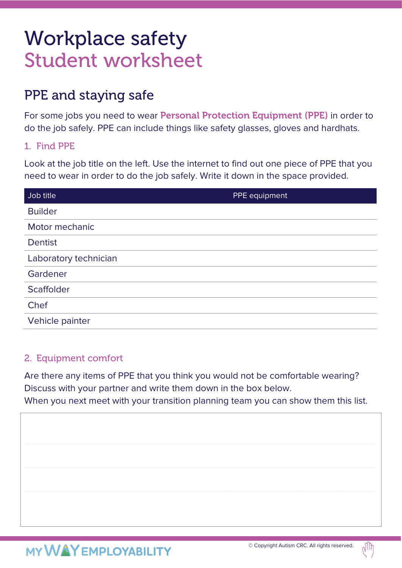# Workplace safety Student worksheet

## PPE and staying safe

For some jobs you need to wear Personal Protection Equipment (PPE) in order to do the job safely. PPE can include things like safety glasses, gloves and hardhats.

### 1. Find PPE

Look at the job title on the left. Use the internet to find out one piece of PPE that you need to wear in order to do the job safely. Write it down in the space provided.

| Job title             | PPE equipment |
|-----------------------|---------------|
| <b>Builder</b>        |               |
| Motor mechanic        |               |
| <b>Dentist</b>        |               |
| Laboratory technician |               |
| Gardener              |               |
| Scaffolder            |               |
| Chef                  |               |
| Vehicle painter       |               |

### 2. Equipment comfort

Are there any items of PPE that you think you would not be comfortable wearing? Discuss with your partner and write them down in the box below. When you next meet with your transition planning team you can show them this list.